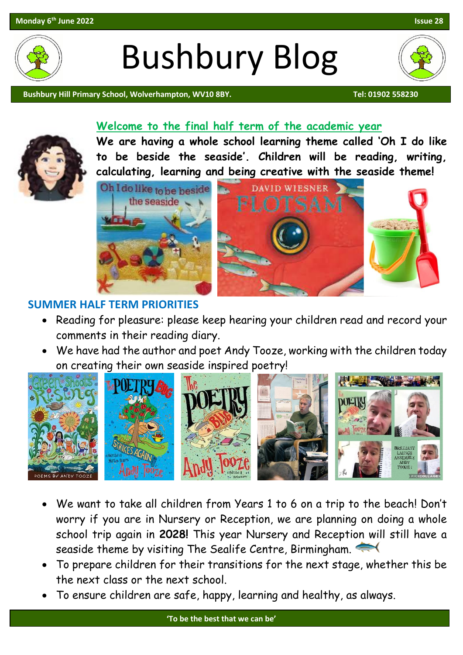

# Bushbury Blog

Bushbury Hill Primary School, Wolverhampton, WV10 8BY. The Contract of the Contract of the Contract of the Contra

#### **Welcome to the final half term of the academic year**



**We are having a whole school learning theme called 'Oh I do like to be beside the seaside'. Children will be reading, writing, calculating, learning and being creative with the seaside theme!**



#### **SUMMER HALF TERM PRIORITIES**

- Reading for pleasure: please keep hearing your children read and record your comments in their reading diary.
- We have had the author and poet Andy Tooze, working with the children today on creating their own seaside inspired poetry!



- We want to take all children from Years 1 to 6 on a trip to the beach! Don't worry if you are in Nursery or Reception, we are planning on doing a whole school trip again in **2028!** This year Nursery and Reception will still have a seaside theme by visiting The Sealife Centre, Birmingham.
- To prepare children for their transitions for the next stage, whether this be the next class or the next school.
- To ensure children are safe, happy, learning and healthy, as always.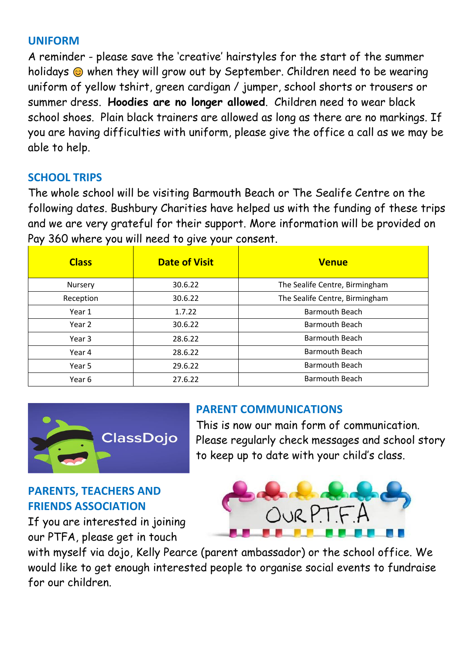# **UNIFORM**

A reminder - please save the 'creative' hairstyles for the start of the summer holidays when they will grow out by September. Children need to be wearing uniform of yellow tshirt, green cardigan / jumper, school shorts or trousers or summer dress. **Hoodies are no longer allowed**. Children need to wear black school shoes. Plain black trainers are allowed as long as there are no markings. If you are having difficulties with uniform, please give the office a call as we may be able to help.

# **SCHOOL TRIPS**

The whole school will be visiting Barmouth Beach or The Sealife Centre on the following dates. Bushbury Charities have helped us with the funding of these trips and we are very grateful for their support. More information will be provided on Pay 360 where you will need to give your consent.

| <b>Class</b> | <b>Date of Visit</b> | <b>Venue</b>                   |
|--------------|----------------------|--------------------------------|
| Nursery      | 30.6.22              | The Sealife Centre, Birmingham |
| Reception    | 30.6.22              | The Sealife Centre, Birmingham |
| Year 1       | 1.7.22               | <b>Barmouth Beach</b>          |
| Year 2       | 30.6.22              | <b>Barmouth Beach</b>          |
| Year 3       | 28.6.22              | <b>Barmouth Beach</b>          |
| Year 4       | 28.6.22              | <b>Barmouth Beach</b>          |
| Year 5       | 29.6.22              | <b>Barmouth Beach</b>          |
| Year 6       | 27.6.22              | <b>Barmouth Beach</b>          |



## **PARENT COMMUNICATIONS**

This is now our main form of communication. Please regularly check messages and school story to keep up to date with your child's class.

# **PARENTS, TEACHERS AND FRIENDS ASSOCIATION**

If you are interested in joining our PTFA, please get in touch



with myself via dojo, Kelly Pearce (parent ambassador) or the school office. We would like to get enough interested people to organise social events to fundraise for our children.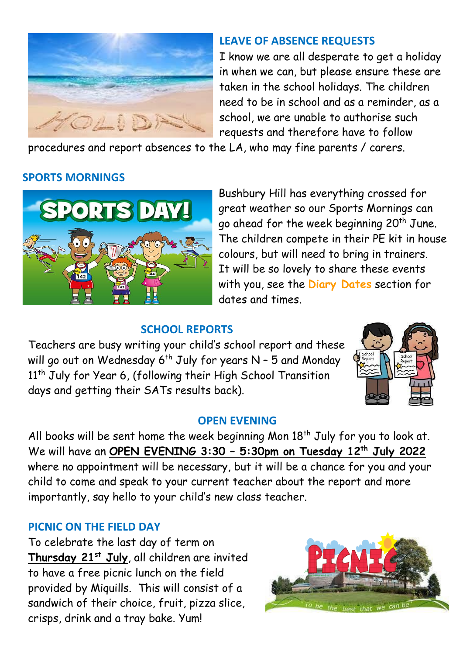

## **LEAVE OF ABSENCE REQUESTS**

I know we are all desperate to get a holiday in when we can, but please ensure these are taken in the school holidays. The children need to be in school and as a reminder, as a school, we are unable to authorise such requests and therefore have to follow

procedures and report absences to the LA, who may fine parents / carers.

## **SPORTS MORNINGS**



Bushbury Hill has everything crossed for great weather so our Sports Mornings can go ahead for the week beginning 20<sup>th</sup> June. The children compete in their PE kit in house colours, but will need to bring in trainers. It will be so lovely to share these events with you, see the **Diary Dates** section for dates and times.

#### **SCHOOL REPORTS**

Teachers are busy writing your child's school report and these will go out on Wednesday 6<sup>th</sup> July for years N – 5 and Monday 11<sup>th</sup> July for Year 6, (following their High School Transition days and getting their SATs results back).



#### **OPEN EVENING**

All books will be sent home the week beginning Mon 18<sup>th</sup> July for you to look at. We will have an **OPEN EVENING 3:30 – 5:30pm on Tuesday 12th July 2022** where no appointment will be necessary, but it will be a chance for you and your child to come and speak to your current teacher about the report and more importantly, say hello to your child's new class teacher.

## **PICNIC ON THE FIELD DAY**

To celebrate the last day of term on **Thursday 21st July**, all children are invited to have a free picnic lunch on the field provided by Miquills. This will consist of a sandwich of their choice, fruit, pizza slice, crisps, drink and a tray bake. Yum!

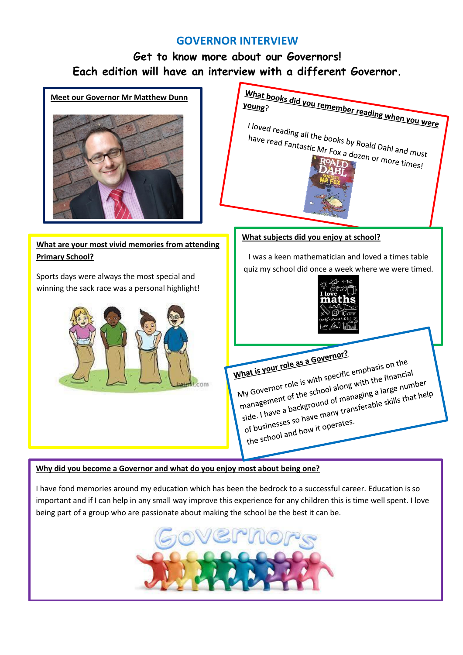#### **GOVERNOR INTERVIEW**

# **Get to know more about our Governors! Each edition will have an interview with a different Governor.**



#### **Why did you become a Governor and what do you enjoy most about being one?**

I have fond memories around my education which has been the bedrock to a successful career. Education is so important and if I can help in any small way improve this experience for any children this is time well spent. I love being part of a group who are passionate about making the school be the best it can be.